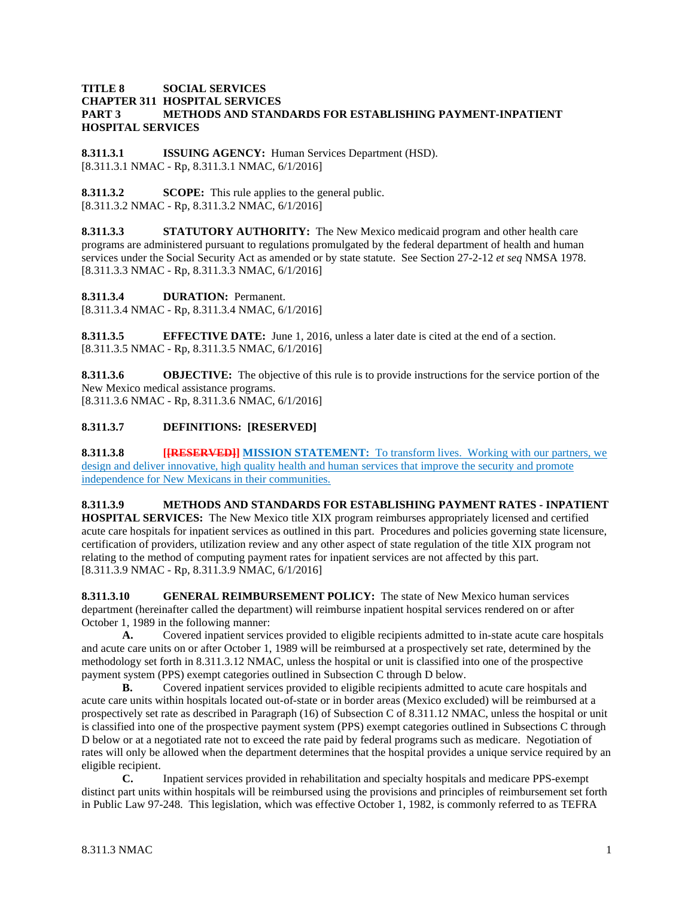### **TITLE 8 SOCIAL SERVICES CHAPTER 311 HOSPITAL SERVICES PART 3 METHODS AND STANDARDS FOR ESTABLISHING PAYMENT-INPATIENT HOSPITAL SERVICES**

**8.311.3.1 ISSUING AGENCY:** Human Services Department (HSD). [8.311.3.1 NMAC - Rp, 8.311.3.1 NMAC, 6/1/2016]

**8.311.3.2 SCOPE:** This rule applies to the general public. [8.311.3.2 NMAC - Rp, 8.311.3.2 NMAC, 6/1/2016]

**8.311.3.3 STATUTORY AUTHORITY:** The New Mexico medicaid program and other health care programs are administered pursuant to regulations promulgated by the federal department of health and human services under the Social Security Act as amended or by state statute. See Section 27-2-12 *et seq* NMSA 1978. [8.311.3.3 NMAC - Rp, 8.311.3.3 NMAC, 6/1/2016]

**8.311.3.4 DURATION:** Permanent.

[8.311.3.4 NMAC - Rp, 8.311.3.4 NMAC, 6/1/2016]

**8.311.3.5 EFFECTIVE DATE:** June 1, 2016, unless a later date is cited at the end of a section. [8.311.3.5 NMAC - Rp, 8.311.3.5 NMAC, 6/1/2016]

**8.311.3.6 OBJECTIVE:** The objective of this rule is to provide instructions for the service portion of the New Mexico medical assistance programs. [8.311.3.6 NMAC - Rp, 8.311.3.6 NMAC, 6/1/2016]

# **8.311.3.7 DEFINITIONS: [RESERVED]**

**8.311.3.8 [[RESERVED]] MISSION STATEMENT:** To transform lives. Working with our partners, we design and deliver innovative, high quality health and human services that improve the security and promote independence for New Mexicans in their communities.

**8.311.3.9 METHODS AND STANDARDS FOR ESTABLISHING PAYMENT RATES - INPATIENT HOSPITAL SERVICES:** The New Mexico title XIX program reimburses appropriately licensed and certified acute care hospitals for inpatient services as outlined in this part. Procedures and policies governing state licensure, certification of providers, utilization review and any other aspect of state regulation of the title XIX program not relating to the method of computing payment rates for inpatient services are not affected by this part. [8.311.3.9 NMAC - Rp, 8.311.3.9 NMAC, 6/1/2016]

**8.311.3.10 GENERAL REIMBURSEMENT POLICY:** The state of New Mexico human services department (hereinafter called the department) will reimburse inpatient hospital services rendered on or after October 1, 1989 in the following manner:

**A.** Covered inpatient services provided to eligible recipients admitted to in-state acute care hospitals and acute care units on or after October 1, 1989 will be reimbursed at a prospectively set rate, determined by the methodology set forth in 8.311.3.12 NMAC, unless the hospital or unit is classified into one of the prospective payment system (PPS) exempt categories outlined in Subsection C through D below.

**B.** Covered inpatient services provided to eligible recipients admitted to acute care hospitals and acute care units within hospitals located out-of-state or in border areas (Mexico excluded) will be reimbursed at a prospectively set rate as described in Paragraph (16) of Subsection C of 8.311.12 NMAC, unless the hospital or unit is classified into one of the prospective payment system (PPS) exempt categories outlined in Subsections C through D below or at a negotiated rate not to exceed the rate paid by federal programs such as medicare. Negotiation of rates will only be allowed when the department determines that the hospital provides a unique service required by an eligible recipient.

**C.** Inpatient services provided in rehabilitation and specialty hospitals and medicare PPS-exempt distinct part units within hospitals will be reimbursed using the provisions and principles of reimbursement set forth in Public Law 97-248. This legislation, which was effective October 1, 1982, is commonly referred to as TEFRA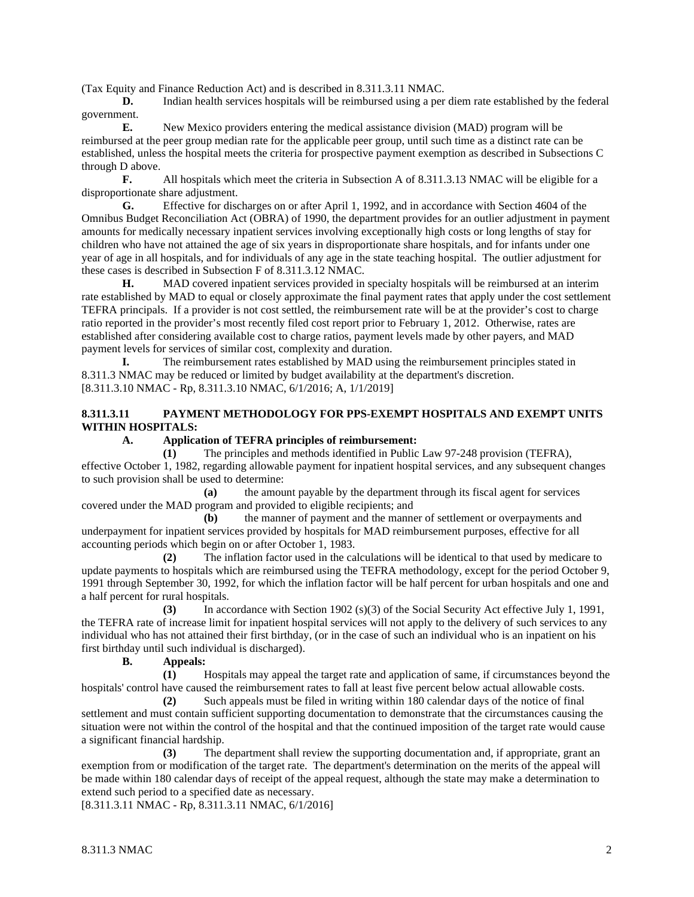(Tax Equity and Finance Reduction Act) and is described in 8.311.3.11 NMAC.

**D.** Indian health services hospitals will be reimbursed using a per diem rate established by the federal government.<br>E.

**E.** New Mexico providers entering the medical assistance division (MAD) program will be reimbursed at the peer group median rate for the applicable peer group, until such time as a distinct rate can be established, unless the hospital meets the criteria for prospective payment exemption as described in Subsections C through D above.

**F.** All hospitals which meet the criteria in Subsection A of 8.311.3.13 NMAC will be eligible for a disproportionate share adjustment.<br> **G.** Effective for disc

**G.** Effective for discharges on or after April 1, 1992, and in accordance with Section 4604 of the Omnibus Budget Reconciliation Act (OBRA) of 1990, the department provides for an outlier adjustment in payment amounts for medically necessary inpatient services involving exceptionally high costs or long lengths of stay for children who have not attained the age of six years in disproportionate share hospitals, and for infants under one year of age in all hospitals, and for individuals of any age in the state teaching hospital. The outlier adjustment for these cases is described in Subsection F of 8.311.3.12 NMAC.

**H.** MAD covered inpatient services provided in specialty hospitals will be reimbursed at an interim rate established by MAD to equal or closely approximate the final payment rates that apply under the cost settlement TEFRA principals. If a provider is not cost settled, the reimbursement rate will be at the provider's cost to charge ratio reported in the provider's most recently filed cost report prior to February 1, 2012. Otherwise, rates are established after considering available cost to charge ratios, payment levels made by other payers, and MAD payment levels for services of similar cost, complexity and duration.

**I.** The reimbursement rates established by MAD using the reimbursement principles stated in 8.311.3 NMAC may be reduced or limited by budget availability at the department's discretion. [8.311.3.10 NMAC - Rp, 8.311.3.10 NMAC, 6/1/2016; A, 1/1/2019]

### **8.311.3.11 PAYMENT METHODOLOGY FOR PPS-EXEMPT HOSPITALS AND EXEMPT UNITS WITHIN HOSPITALS:**

### **A. Application of TEFRA principles of reimbursement:**

**(1)** The principles and methods identified in Public Law 97-248 provision (TEFRA), effective October 1, 1982, regarding allowable payment for inpatient hospital services, and any subsequent changes to such provision shall be used to determine:

**(a)** the amount payable by the department through its fiscal agent for services covered under the MAD program and provided to eligible recipients; and

**(b)** the manner of payment and the manner of settlement or overpayments and underpayment for inpatient services provided by hospitals for MAD reimbursement purposes, effective for all accounting periods which begin on or after October 1, 1983.

**(2)** The inflation factor used in the calculations will be identical to that used by medicare to update payments to hospitals which are reimbursed using the TEFRA methodology, except for the period October 9, 1991 through September 30, 1992, for which the inflation factor will be half percent for urban hospitals and one and a half percent for rural hospitals.

**(3)** In accordance with Section 1902 (s)(3) of the Social Security Act effective July 1, 1991, the TEFRA rate of increase limit for inpatient hospital services will not apply to the delivery of such services to any individual who has not attained their first birthday, (or in the case of such an individual who is an inpatient on his first birthday until such individual is discharged).

### **B. Appeals:**

**(1)** Hospitals may appeal the target rate and application of same, if circumstances beyond the hospitals' control have caused the reimbursement rates to fall at least five percent below actual allowable costs.

**(2)** Such appeals must be filed in writing within 180 calendar days of the notice of final settlement and must contain sufficient supporting documentation to demonstrate that the circumstances causing the situation were not within the control of the hospital and that the continued imposition of the target rate would cause a significant financial hardship.

**(3)** The department shall review the supporting documentation and, if appropriate, grant an exemption from or modification of the target rate. The department's determination on the merits of the appeal will be made within 180 calendar days of receipt of the appeal request, although the state may make a determination to extend such period to a specified date as necessary.

[8.311.3.11 NMAC - Rp, 8.311.3.11 NMAC, 6/1/2016]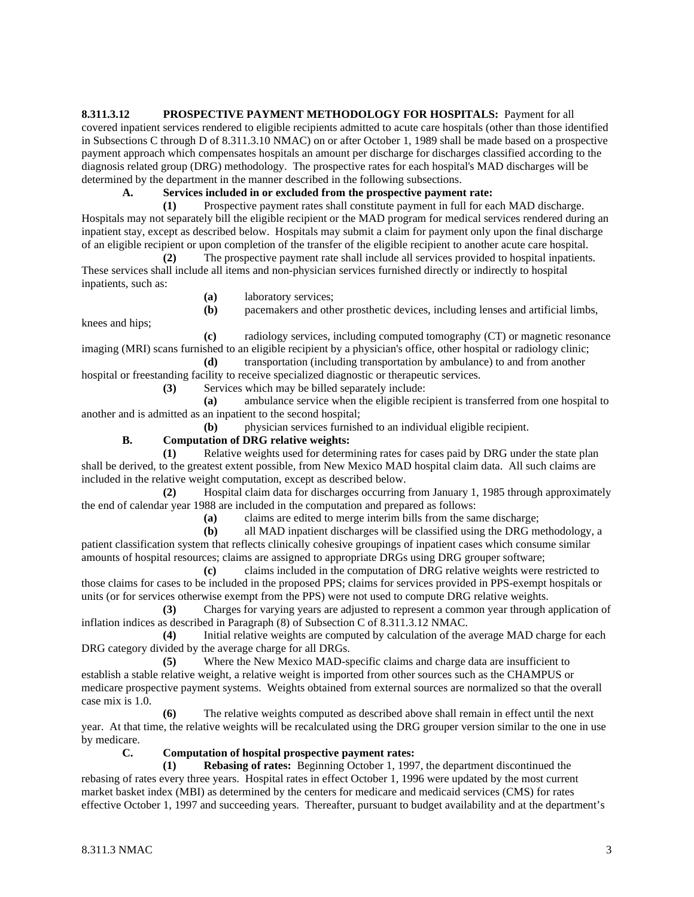**8.311.3.12 PROSPECTIVE PAYMENT METHODOLOGY FOR HOSPITALS:** Payment for all covered inpatient services rendered to eligible recipients admitted to acute care hospitals (other than those identified in Subsections C through D of 8.311.3.10 NMAC) on or after October 1, 1989 shall be made based on a prospective payment approach which compensates hospitals an amount per discharge for discharges classified according to the diagnosis related group (DRG) methodology. The prospective rates for each hospital's MAD discharges will be determined by the department in the manner described in the following subsections.

# **A. Services included in or excluded from the prospective payment rate:**

**(1)** Prospective payment rates shall constitute payment in full for each MAD discharge. Hospitals may not separately bill the eligible recipient or the MAD program for medical services rendered during an inpatient stay, except as described below. Hospitals may submit a claim for payment only upon the final discharge of an eligible recipient or upon completion of the transfer of the eligible recipient to another acute care hospital.

**(2)** The prospective payment rate shall include all services provided to hospital inpatients. These services shall include all items and non-physician services furnished directly or indirectly to hospital inpatients, such as:

**(a)** laboratory services;

**(b)** pacemakers and other prosthetic devices, including lenses and artificial limbs,

**(c)** radiology services, including computed tomography (CT) or magnetic resonance imaging (MRI) scans furnished to an eligible recipient by a physician's office, other hospital or radiology clinic;

**(d)** transportation (including transportation by ambulance) to and from another hospital or freestanding facility to receive specialized diagnostic or therapeutic services.

**(3)** Services which may be billed separately include:

**(a)** ambulance service when the eligible recipient is transferred from one hospital to another and is admitted as an inpatient to the second hospital;

**(b)** physician services furnished to an individual eligible recipient.

# **B. Computation of DRG relative weights:**

**(1)** Relative weights used for determining rates for cases paid by DRG under the state plan shall be derived, to the greatest extent possible, from New Mexico MAD hospital claim data. All such claims are included in the relative weight computation, except as described below.

**(2)** Hospital claim data for discharges occurring from January 1, 1985 through approximately the end of calendar year 1988 are included in the computation and prepared as follows:

**(a)** claims are edited to merge interim bills from the same discharge;

**(b)** all MAD inpatient discharges will be classified using the DRG methodology, a patient classification system that reflects clinically cohesive groupings of inpatient cases which consume similar amounts of hospital resources; claims are assigned to appropriate DRGs using DRG grouper software;

**(c)** claims included in the computation of DRG relative weights were restricted to those claims for cases to be included in the proposed PPS; claims for services provided in PPS-exempt hospitals or units (or for services otherwise exempt from the PPS) were not used to compute DRG relative weights.

**(3)** Charges for varying years are adjusted to represent a common year through application of inflation indices as described in Paragraph (8) of Subsection C of 8.311.3.12 NMAC.

**(4)** Initial relative weights are computed by calculation of the average MAD charge for each DRG category divided by the average charge for all DRGs.

**(5)** Where the New Mexico MAD-specific claims and charge data are insufficient to establish a stable relative weight, a relative weight is imported from other sources such as the CHAMPUS or medicare prospective payment systems. Weights obtained from external sources are normalized so that the overall case mix is 1.0.

**(6)** The relative weights computed as described above shall remain in effect until the next year. At that time, the relative weights will be recalculated using the DRG grouper version similar to the one in use by medicare.

# **C. Computation of hospital prospective payment rates:**

**(1) Rebasing of rates:** Beginning October 1, 1997, the department discontinued the rebasing of rates every three years. Hospital rates in effect October 1, 1996 were updated by the most current market basket index (MBI) as determined by the centers for medicare and medicaid services (CMS) for rates effective October 1, 1997 and succeeding years. Thereafter, pursuant to budget availability and at the department's

knees and hips;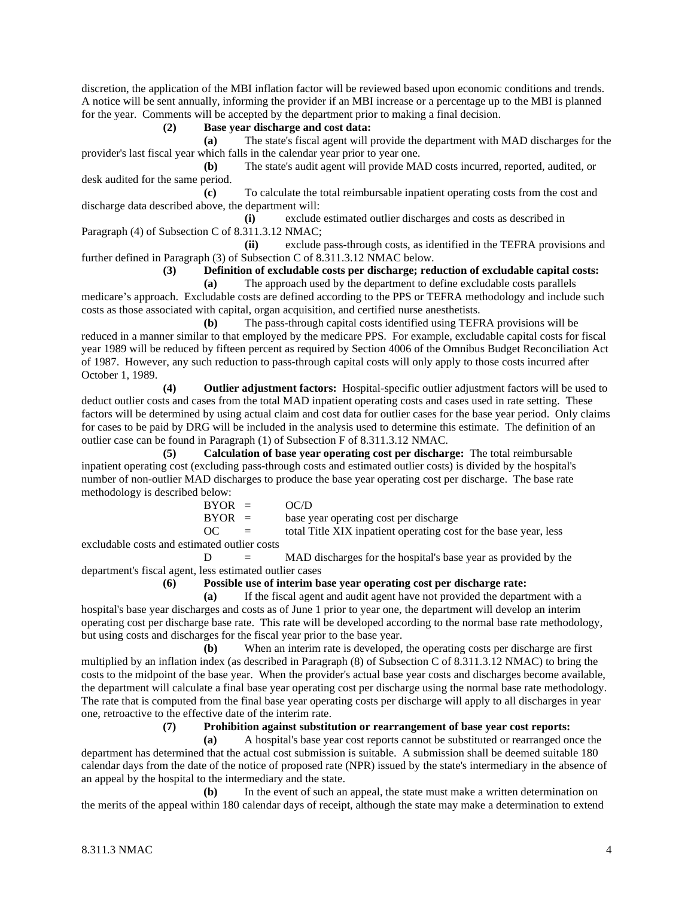discretion, the application of the MBI inflation factor will be reviewed based upon economic conditions and trends. A notice will be sent annually, informing the provider if an MBI increase or a percentage up to the MBI is planned for the year. Comments will be accepted by the department prior to making a final decision.

**(2) Base year discharge and cost data:**

**(a)** The state's fiscal agent will provide the department with MAD discharges for the provider's last fiscal year which falls in the calendar year prior to year one.

**(b)** The state's audit agent will provide MAD costs incurred, reported, audited, or desk audited for the same period.

**(c)** To calculate the total reimbursable inpatient operating costs from the cost and discharge data described above, the department will:

**(i)** exclude estimated outlier discharges and costs as described in Paragraph (4) of Subsection C of 8.311.3.12 NMAC;

**(ii)** exclude pass-through costs, as identified in the TEFRA provisions and further defined in Paragraph (3) of Subsection C of 8.311.3.12 NMAC below.

**(3) Definition of excludable costs per discharge; reduction of excludable capital costs:**

**(a)** The approach used by the department to define excludable costs parallels medicare's approach. Excludable costs are defined according to the PPS or TEFRA methodology and include such costs as those associated with capital, organ acquisition, and certified nurse anesthetists.

**(b)** The pass-through capital costs identified using TEFRA provisions will be reduced in a manner similar to that employed by the medicare PPS. For example, excludable capital costs for fiscal year 1989 will be reduced by fifteen percent as required by Section 4006 of the Omnibus Budget Reconciliation Act of 1987. However, any such reduction to pass-through capital costs will only apply to those costs incurred after October 1, 1989.

**(4) Outlier adjustment factors:** Hospital-specific outlier adjustment factors will be used to deduct outlier costs and cases from the total MAD inpatient operating costs and cases used in rate setting. These factors will be determined by using actual claim and cost data for outlier cases for the base year period. Only claims for cases to be paid by DRG will be included in the analysis used to determine this estimate. The definition of an outlier case can be found in Paragraph (1) of Subsection F of 8.311.3.12 NMAC.

**(5) Calculation of base year operating cost per discharge:** The total reimbursable inpatient operating cost (excluding pass-through costs and estimated outlier costs) is divided by the hospital's number of non-outlier MAD discharges to produce the base year operating cost per discharge. The base rate methodology is described below:

| $BYOR =$ |          | OC/D                                                             |
|----------|----------|------------------------------------------------------------------|
| $BYOR =$ |          | base year operating cost per discharge                           |
| OC.      | $\equiv$ | total Title XIX inpatient operating cost for the base year, less |

excludable costs and estimated outlier costs

 $D = MAD$  discharges for the hospital's base year as provided by the department's fiscal agent, less estimated outlier cases

### **(6) Possible use of interim base year operating cost per discharge rate:**

**(a)** If the fiscal agent and audit agent have not provided the department with a hospital's base year discharges and costs as of June 1 prior to year one, the department will develop an interim operating cost per discharge base rate. This rate will be developed according to the normal base rate methodology, but using costs and discharges for the fiscal year prior to the base year.

**(b)** When an interim rate is developed, the operating costs per discharge are first multiplied by an inflation index (as described in Paragraph (8) of Subsection C of 8.311.3.12 NMAC) to bring the costs to the midpoint of the base year. When the provider's actual base year costs and discharges become available, the department will calculate a final base year operating cost per discharge using the normal base rate methodology. The rate that is computed from the final base year operating costs per discharge will apply to all discharges in year one, retroactive to the effective date of the interim rate.

**(7) Prohibition against substitution or rearrangement of base year cost reports:**

**(a)** A hospital's base year cost reports cannot be substituted or rearranged once the department has determined that the actual cost submission is suitable. A submission shall be deemed suitable 180 calendar days from the date of the notice of proposed rate (NPR) issued by the state's intermediary in the absence of an appeal by the hospital to the intermediary and the state.

**(b)** In the event of such an appeal, the state must make a written determination on the merits of the appeal within 180 calendar days of receipt, although the state may make a determination to extend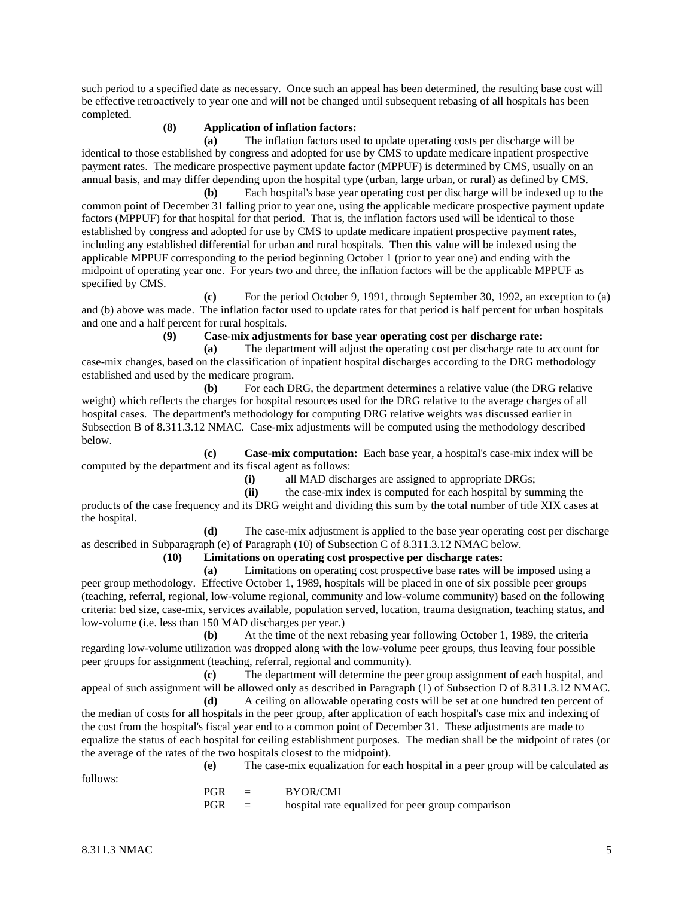such period to a specified date as necessary. Once such an appeal has been determined, the resulting base cost will be effective retroactively to year one and will not be changed until subsequent rebasing of all hospitals has been completed.

### **(8) Application of inflation factors:**

**(a)** The inflation factors used to update operating costs per discharge will be identical to those established by congress and adopted for use by CMS to update medicare inpatient prospective payment rates. The medicare prospective payment update factor (MPPUF) is determined by CMS, usually on an annual basis, and may differ depending upon the hospital type (urban, large urban, or rural) as defined by CMS.

**(b)** Each hospital's base year operating cost per discharge will be indexed up to the common point of December 31 falling prior to year one, using the applicable medicare prospective payment update factors (MPPUF) for that hospital for that period. That is, the inflation factors used will be identical to those established by congress and adopted for use by CMS to update medicare inpatient prospective payment rates, including any established differential for urban and rural hospitals. Then this value will be indexed using the applicable MPPUF corresponding to the period beginning October 1 (prior to year one) and ending with the midpoint of operating year one. For years two and three, the inflation factors will be the applicable MPPUF as specified by CMS.

**(c)** For the period October 9, 1991, through September 30, 1992, an exception to (a) and (b) above was made. The inflation factor used to update rates for that period is half percent for urban hospitals and one and a half percent for rural hospitals.

**(9) Case-mix adjustments for base year operating cost per discharge rate:**

**(a)** The department will adjust the operating cost per discharge rate to account for case-mix changes, based on the classification of inpatient hospital discharges according to the DRG methodology established and used by the medicare program.

**(b)** For each DRG, the department determines a relative value (the DRG relative weight) which reflects the charges for hospital resources used for the DRG relative to the average charges of all hospital cases. The department's methodology for computing DRG relative weights was discussed earlier in Subsection B of 8.311.3.12 NMAC. Case-mix adjustments will be computed using the methodology described below.

**(c) Case-mix computation:** Each base year, a hospital's case-mix index will be computed by the department and its fiscal agent as follows:

(i) all MAD discharges are assigned to appropriate DRGs;<br>(ii) the case-mix index is computed for each hospital by sur

**(ii)** the case-mix index is computed for each hospital by summing the products of the case frequency and its DRG weight and dividing this sum by the total number of title XIX cases at the hospital.

**(d)** The case-mix adjustment is applied to the base year operating cost per discharge as described in Subparagraph (e) of Paragraph (10) of Subsection C of 8.311.3.12 NMAC below.

**(10) Limitations on operating cost prospective per discharge rates:**

**(a)** Limitations on operating cost prospective base rates will be imposed using a peer group methodology. Effective October 1, 1989, hospitals will be placed in one of six possible peer groups (teaching, referral, regional, low-volume regional, community and low-volume community) based on the following criteria: bed size, case-mix, services available, population served, location, trauma designation, teaching status, and low-volume (i.e. less than 150 MAD discharges per year.)

**(b)** At the time of the next rebasing year following October 1, 1989, the criteria regarding low-volume utilization was dropped along with the low-volume peer groups, thus leaving four possible peer groups for assignment (teaching, referral, regional and community).

**(c)** The department will determine the peer group assignment of each hospital, and appeal of such assignment will be allowed only as described in Paragraph (1) of Subsection D of 8.311.3.12 NMAC.

**(d)** A ceiling on allowable operating costs will be set at one hundred ten percent of the median of costs for all hospitals in the peer group, after application of each hospital's case mix and indexing of the cost from the hospital's fiscal year end to a common point of December 31. These adjustments are made to equalize the status of each hospital for ceiling establishment purposes. The median shall be the midpoint of rates (or the average of the rates of the two hospitals closest to the midpoint).

follows:

**(e)** The case-mix equalization for each hospital in a peer group will be calculated as

PGR = BYOR/CMI  $PGR =$  hospital rate equalized for peer group comparison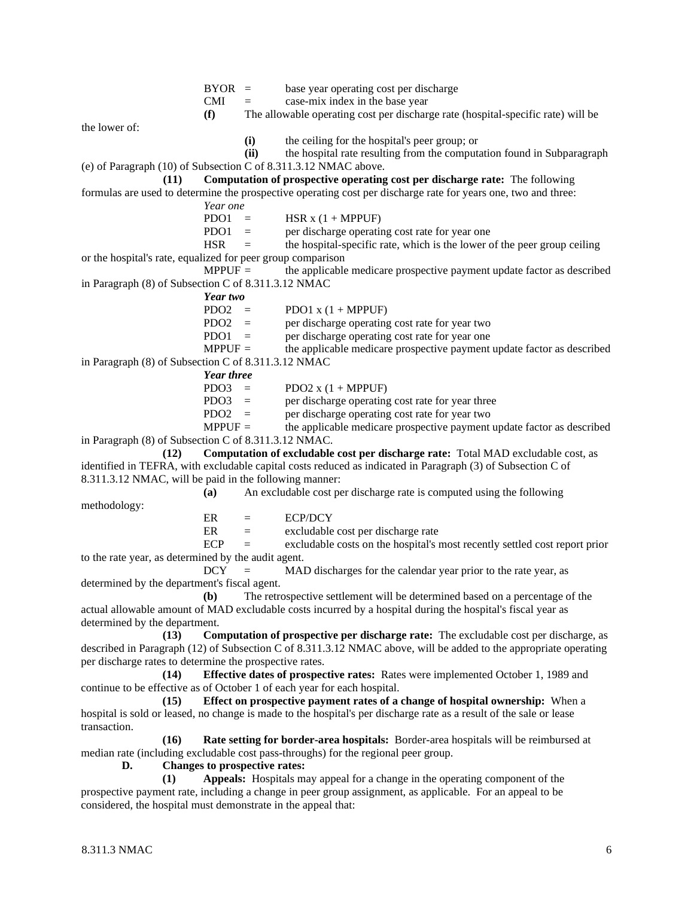|                                                                 | $BYOR =$          |                               | base year operating cost per discharge                                                                              |
|-----------------------------------------------------------------|-------------------|-------------------------------|---------------------------------------------------------------------------------------------------------------------|
|                                                                 | <b>CMI</b>        | $=$                           | case-mix index in the base year                                                                                     |
|                                                                 | (f)               |                               | The allowable operating cost per discharge rate (hospital-specific rate) will be                                    |
| the lower of:                                                   |                   |                               |                                                                                                                     |
|                                                                 |                   | (i)                           | the ceiling for the hospital's peer group; or                                                                       |
|                                                                 |                   | (ii)                          | the hospital rate resulting from the computation found in Subparagraph                                              |
| (e) of Paragraph (10) of Subsection C of 8.311.3.12 NMAC above. |                   |                               |                                                                                                                     |
| (11)                                                            |                   |                               | Computation of prospective operating cost per discharge rate: The following                                         |
|                                                                 |                   |                               | formulas are used to determine the prospective operating cost per discharge rate for years one, two and three:      |
|                                                                 | Year one          |                               |                                                                                                                     |
|                                                                 | $PDO1 =$          |                               | HSR $x$ (1 + MPPUF)                                                                                                 |
|                                                                 | PDO1              | $\quad \  \  =$               | per discharge operating cost rate for year one                                                                      |
|                                                                 | <b>HSR</b>        | $=$                           | the hospital-specific rate, which is the lower of the peer group ceiling                                            |
| or the hospital's rate, equalized for peer group comparison     |                   |                               |                                                                                                                     |
|                                                                 | $MPPUF =$         |                               | the applicable medicare prospective payment update factor as described                                              |
| in Paragraph (8) of Subsection C of 8.311.3.12 NMAC             |                   |                               |                                                                                                                     |
|                                                                 | Year two          |                               |                                                                                                                     |
|                                                                 | $PDO2 =$          |                               | PDO1 $x(1 + MPPUF)$                                                                                                 |
|                                                                 | PDO <sub>2</sub>  | $=$                           | per discharge operating cost rate for year two                                                                      |
|                                                                 | PDO1              | $=$                           | per discharge operating cost rate for year one                                                                      |
|                                                                 | $MPPUF =$         |                               | the applicable medicare prospective payment update factor as described                                              |
| in Paragraph (8) of Subsection C of 8.311.3.12 NMAC             |                   |                               |                                                                                                                     |
|                                                                 | <b>Year three</b> |                               |                                                                                                                     |
|                                                                 | $PDO3 =$          |                               | PDO2 $x(1 + MPPUF)$                                                                                                 |
|                                                                 | PDO3              | $=$                           | per discharge operating cost rate for year three                                                                    |
|                                                                 | $PDO2 =$          |                               | per discharge operating cost rate for year two                                                                      |
|                                                                 | $MPPUF =$         |                               | the applicable medicare prospective payment update factor as described                                              |
| in Paragraph (8) of Subsection C of 8.311.3.12 NMAC.            |                   |                               |                                                                                                                     |
| (12)                                                            |                   |                               | Computation of excludable cost per discharge rate: Total MAD excludable cost, as                                    |
|                                                                 |                   |                               |                                                                                                                     |
|                                                                 |                   |                               | identified in TEFRA, with excludable capital costs reduced as indicated in Paragraph (3) of Subsection C of         |
| 8.311.3.12 NMAC, will be paid in the following manner:          |                   |                               |                                                                                                                     |
|                                                                 | (a)               |                               | An excludable cost per discharge rate is computed using the following                                               |
| methodology:                                                    |                   |                               |                                                                                                                     |
|                                                                 | ER                | $=$                           | <b>ECP/DCY</b>                                                                                                      |
|                                                                 | ER                | $=$                           | excludable cost per discharge rate                                                                                  |
|                                                                 | <b>ECP</b>        | $=$                           | excludable costs on the hospital's most recently settled cost report prior                                          |
| to the rate year, as determined by the audit agent.             |                   |                               |                                                                                                                     |
|                                                                 | <b>DCY</b>        | $=$                           | MAD discharges for the calendar year prior to the rate year, as                                                     |
| determined by the department's fiscal agent.                    |                   |                               |                                                                                                                     |
|                                                                 | (b)               |                               | The retrospective settlement will be determined based on a percentage of the                                        |
|                                                                 |                   |                               | actual allowable amount of MAD excludable costs incurred by a hospital during the hospital's fiscal year as         |
| determined by the department.                                   |                   |                               |                                                                                                                     |
| (13)                                                            |                   |                               | Computation of prospective per discharge rate: The excludable cost per discharge, as                                |
|                                                                 |                   |                               | described in Paragraph (12) of Subsection C of 8.311.3.12 NMAC above, will be added to the appropriate operating    |
| per discharge rates to determine the prospective rates.         |                   |                               |                                                                                                                     |
| (14)                                                            |                   |                               | Effective dates of prospective rates: Rates were implemented October 1, 1989 and                                    |
|                                                                 |                   |                               | continue to be effective as of October 1 of each year for each hospital.                                            |
| (15)                                                            |                   |                               | Effect on prospective payment rates of a change of hospital ownership: When a                                       |
|                                                                 |                   |                               | hospital is sold or leased, no change is made to the hospital's per discharge rate as a result of the sale or lease |
| transaction.                                                    |                   |                               |                                                                                                                     |
| (16)                                                            |                   |                               | Rate setting for border-area hospitals: Border-area hospitals will be reimbursed at                                 |
|                                                                 |                   |                               | median rate (including excludable cost pass-throughs) for the regional peer group.                                  |
| D.                                                              |                   | Changes to prospective rates: |                                                                                                                     |
| (1)                                                             |                   |                               | Appeals: Hospitals may appeal for a change in the operating component of the                                        |
| considered, the hospital must demonstrate in the appeal that:   |                   |                               | prospective payment rate, including a change in peer group assignment, as applicable. For an appeal to be           |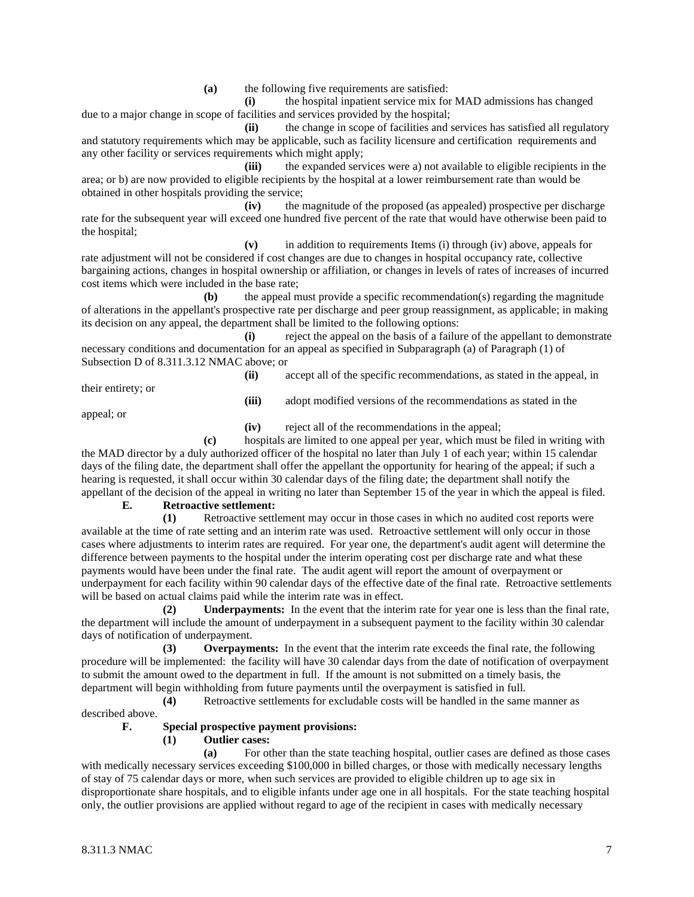**(a)** the following five requirements are satisfied:

**(i)** the hospital inpatient service mix for MAD admissions has changed due to a major change in scope of facilities and services provided by the hospital;

**(ii)** the change in scope of facilities and services has satisfied all regulatory and statutory requirements which may be applicable, such as facility licensure and certification requirements and any other facility or services requirements which might apply;

**(iii)** the expanded services were a) not available to eligible recipients in the area; or b) are now provided to eligible recipients by the hospital at a lower reimbursement rate than would be obtained in other hospitals providing the service;

**(iv)** the magnitude of the proposed (as appealed) prospective per discharge rate for the subsequent year will exceed one hundred five percent of the rate that would have otherwise been paid to the hospital;

**(v)** in addition to requirements Items (i) through (iv) above, appeals for rate adjustment will not be considered if cost changes are due to changes in hospital occupancy rate, collective bargaining actions, changes in hospital ownership or affiliation, or changes in levels of rates of increases of incurred cost items which were included in the base rate;

**(b)** the appeal must provide a specific recommendation(s) regarding the magnitude of alterations in the appellant's prospective rate per discharge and peer group reassignment, as applicable; in making its decision on any appeal, the department shall be limited to the following options:

**(i)** reject the appeal on the basis of a failure of the appellant to demonstrate necessary conditions and documentation for an appeal as specified in Subparagraph (a) of Paragraph (1) of Subsection D of 8.311.3.12 NMAC above; or

their entirety; or

**(ii)** accept all of the specific recommendations, as stated in the appeal, in

**(iii)** adopt modified versions of the recommendations as stated in the

appeal; or

**(iv)** reject all of the recommendations in the appeal;

**(c)** hospitals are limited to one appeal per year, which must be filed in writing with the MAD director by a duly authorized officer of the hospital no later than July 1 of each year; within 15 calendar days of the filing date, the department shall offer the appellant the opportunity for hearing of the appeal; if such a hearing is requested, it shall occur within 30 calendar days of the filing date; the department shall notify the appellant of the decision of the appeal in writing no later than September 15 of the year in which the appeal is filed.

### **E. Retroactive settlement:**

**(1)** Retroactive settlement may occur in those cases in which no audited cost reports were available at the time of rate setting and an interim rate was used. Retroactive settlement will only occur in those cases where adjustments to interim rates are required. For year one, the department's audit agent will determine the difference between payments to the hospital under the interim operating cost per discharge rate and what these payments would have been under the final rate. The audit agent will report the amount of overpayment or underpayment for each facility within 90 calendar days of the effective date of the final rate. Retroactive settlements will be based on actual claims paid while the interim rate was in effect.

**(2) Underpayments:** In the event that the interim rate for year one is less than the final rate, the department will include the amount of underpayment in a subsequent payment to the facility within 30 calendar days of notification of underpayment.

**(3) Overpayments:** In the event that the interim rate exceeds the final rate, the following procedure will be implemented: the facility will have 30 calendar days from the date of notification of overpayment to submit the amount owed to the department in full. If the amount is not submitted on a timely basis, the department will begin withholding from future payments until the overpayment is satisfied in full.

**(4)** Retroactive settlements for excludable costs will be handled in the same manner as described above.

# **F. Special prospective payment provisions:**

# **(1) Outlier cases:**

**(a)** For other than the state teaching hospital, outlier cases are defined as those cases with medically necessary services exceeding \$100,000 in billed charges, or those with medically necessary lengths of stay of 75 calendar days or more, when such services are provided to eligible children up to age six in disproportionate share hospitals, and to eligible infants under age one in all hospitals. For the state teaching hospital only, the outlier provisions are applied without regard to age of the recipient in cases with medically necessary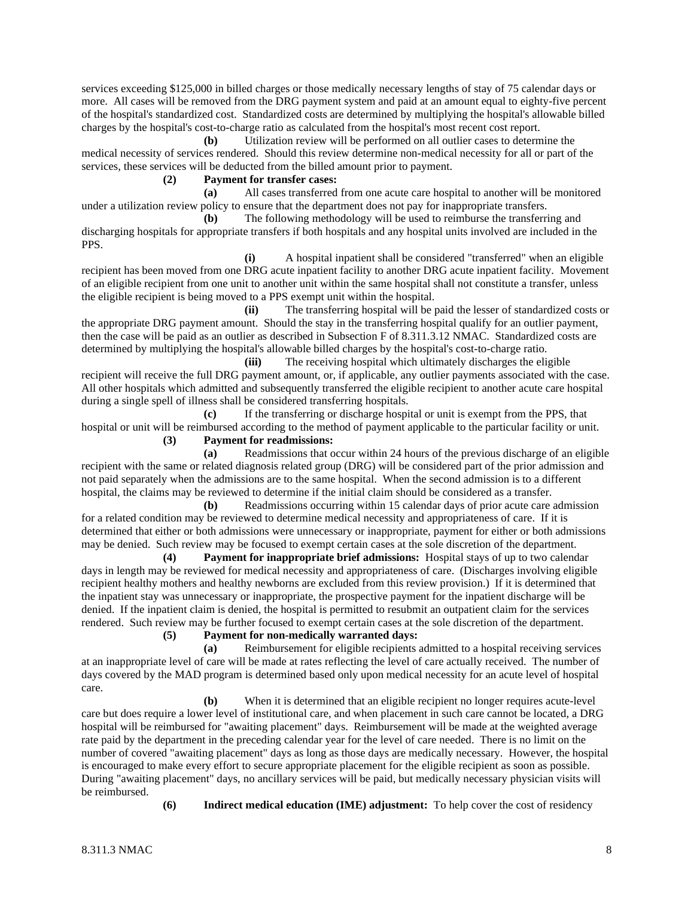services exceeding \$125,000 in billed charges or those medically necessary lengths of stay of 75 calendar days or more. All cases will be removed from the DRG payment system and paid at an amount equal to eighty-five percent of the hospital's standardized cost. Standardized costs are determined by multiplying the hospital's allowable billed charges by the hospital's cost-to-charge ratio as calculated from the hospital's most recent cost report.

**(b)** Utilization review will be performed on all outlier cases to determine the medical necessity of services rendered. Should this review determine non-medical necessity for all or part of the services, these services will be deducted from the billed amount prior to payment.

# **(2) Payment for transfer cases:**

**(a)** All cases transferred from one acute care hospital to another will be monitored under a utilization review policy to ensure that the department does not pay for inappropriate transfers.

**(b)** The following methodology will be used to reimburse the transferring and discharging hospitals for appropriate transfers if both hospitals and any hospital units involved are included in the PPS.

**(i)** A hospital inpatient shall be considered "transferred" when an eligible recipient has been moved from one DRG acute inpatient facility to another DRG acute inpatient facility. Movement of an eligible recipient from one unit to another unit within the same hospital shall not constitute a transfer, unless the eligible recipient is being moved to a PPS exempt unit within the hospital.

**(ii)** The transferring hospital will be paid the lesser of standardized costs or the appropriate DRG payment amount. Should the stay in the transferring hospital qualify for an outlier payment, then the case will be paid as an outlier as described in Subsection F of 8.311.3.12 NMAC. Standardized costs are determined by multiplying the hospital's allowable billed charges by the hospital's cost-to-charge ratio.

**(iii)** The receiving hospital which ultimately discharges the eligible recipient will receive the full DRG payment amount, or, if applicable, any outlier payments associated with the case. All other hospitals which admitted and subsequently transferred the eligible recipient to another acute care hospital during a single spell of illness shall be considered transferring hospitals.

**(c)** If the transferring or discharge hospital or unit is exempt from the PPS, that hospital or unit will be reimbursed according to the method of payment applicable to the particular facility or unit.

# **(3) Payment for readmissions:**

**(a)** Readmissions that occur within 24 hours of the previous discharge of an eligible recipient with the same or related diagnosis related group (DRG) will be considered part of the prior admission and not paid separately when the admissions are to the same hospital. When the second admission is to a different hospital, the claims may be reviewed to determine if the initial claim should be considered as a transfer.

**(b)** Readmissions occurring within 15 calendar days of prior acute care admission for a related condition may be reviewed to determine medical necessity and appropriateness of care. If it is determined that either or both admissions were unnecessary or inappropriate, payment for either or both admissions may be denied. Such review may be focused to exempt certain cases at the sole discretion of the department.

**(4) Payment for inappropriate brief admissions:** Hospital stays of up to two calendar days in length may be reviewed for medical necessity and appropriateness of care. (Discharges involving eligible recipient healthy mothers and healthy newborns are excluded from this review provision.) If it is determined that the inpatient stay was unnecessary or inappropriate, the prospective payment for the inpatient discharge will be denied. If the inpatient claim is denied, the hospital is permitted to resubmit an outpatient claim for the services rendered. Such review may be further focused to exempt certain cases at the sole discretion of the department.

# **(5) Payment for non-medically warranted days:**

**(a)** Reimbursement for eligible recipients admitted to a hospital receiving services at an inappropriate level of care will be made at rates reflecting the level of care actually received. The number of days covered by the MAD program is determined based only upon medical necessity for an acute level of hospital care.

**(b)** When it is determined that an eligible recipient no longer requires acute-level care but does require a lower level of institutional care, and when placement in such care cannot be located, a DRG hospital will be reimbursed for "awaiting placement" days. Reimbursement will be made at the weighted average rate paid by the department in the preceding calendar year for the level of care needed. There is no limit on the number of covered "awaiting placement" days as long as those days are medically necessary. However, the hospital is encouraged to make every effort to secure appropriate placement for the eligible recipient as soon as possible. During "awaiting placement" days, no ancillary services will be paid, but medically necessary physician visits will be reimbursed.

**(6) Indirect medical education (IME) adjustment:** To help cover the cost of residency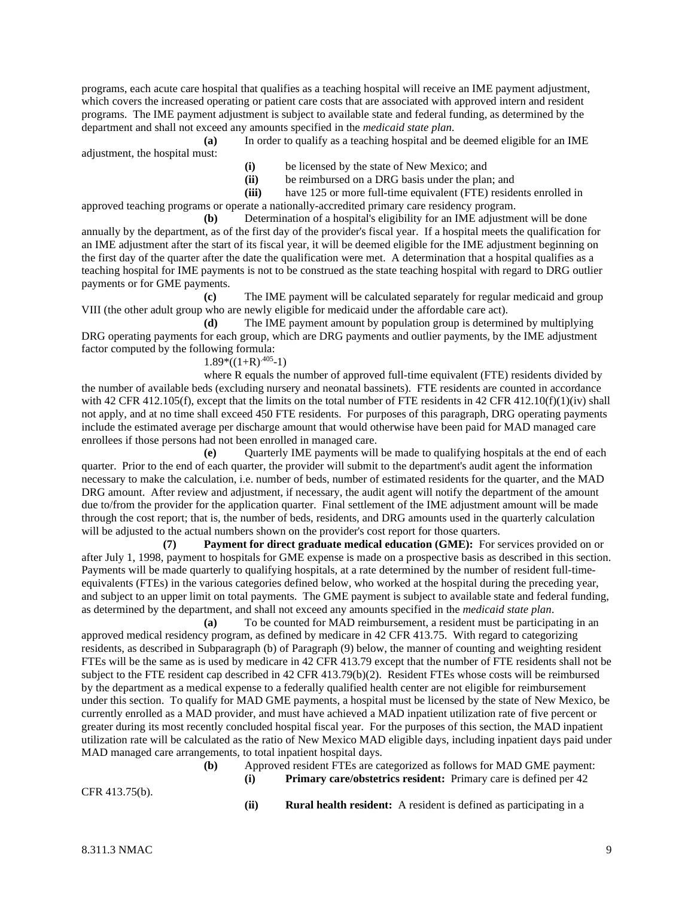programs, each acute care hospital that qualifies as a teaching hospital will receive an IME payment adjustment, which covers the increased operating or patient care costs that are associated with approved intern and resident programs. The IME payment adjustment is subject to available state and federal funding, as determined by the department and shall not exceed any amounts specified in the *medicaid state plan*.

**(a)** In order to qualify as a teaching hospital and be deemed eligible for an IME adjustment, the hospital must:

- **(i)** be licensed by the state of New Mexico; and
- (ii) be reimbursed on a DRG basis under the plan; and<br>(iii) have 125 or more full-time equivalent (FTE) reside
- have 125 or more full-time equivalent (FTE) residents enrolled in

approved teaching programs or operate a nationally-accredited primary care residency program.

**(b)** Determination of a hospital's eligibility for an IME adjustment will be done annually by the department, as of the first day of the provider's fiscal year. If a hospital meets the qualification for an IME adjustment after the start of its fiscal year, it will be deemed eligible for the IME adjustment beginning on the first day of the quarter after the date the qualification were met. A determination that a hospital qualifies as a teaching hospital for IME payments is not to be construed as the state teaching hospital with regard to DRG outlier payments or for GME payments.

**(c)** The IME payment will be calculated separately for regular medicaid and group VIII (the other adult group who are newly eligible for medicaid under the affordable care act).

**(d)** The IME payment amount by population group is determined by multiplying DRG operating payments for each group, which are DRG payments and outlier payments, by the IME adjustment factor computed by the following formula:

### $1.89*((1+R)^{0.405}-1)$

where R equals the number of approved full-time equivalent (FTE) residents divided by the number of available beds (excluding nursery and neonatal bassinets). FTE residents are counted in accordance with 42 CFR 412.105(f), except that the limits on the total number of FTE residents in 42 CFR 412.10(f)(1)(iv) shall not apply, and at no time shall exceed 450 FTE residents. For purposes of this paragraph, DRG operating payments include the estimated average per discharge amount that would otherwise have been paid for MAD managed care enrollees if those persons had not been enrolled in managed care.

**(e)** Quarterly IME payments will be made to qualifying hospitals at the end of each quarter. Prior to the end of each quarter, the provider will submit to the department's audit agent the information necessary to make the calculation, i.e. number of beds, number of estimated residents for the quarter, and the MAD DRG amount. After review and adjustment, if necessary, the audit agent will notify the department of the amount due to/from the provider for the application quarter. Final settlement of the IME adjustment amount will be made through the cost report; that is, the number of beds, residents, and DRG amounts used in the quarterly calculation will be adjusted to the actual numbers shown on the provider's cost report for those quarters.

**(7) Payment for direct graduate medical education (GME):** For services provided on or after July 1, 1998, payment to hospitals for GME expense is made on a prospective basis as described in this section. Payments will be made quarterly to qualifying hospitals, at a rate determined by the number of resident full-timeequivalents (FTEs) in the various categories defined below, who worked at the hospital during the preceding year, and subject to an upper limit on total payments. The GME payment is subject to available state and federal funding, as determined by the department, and shall not exceed any amounts specified in the *medicaid state plan*.

**(a)** To be counted for MAD reimbursement, a resident must be participating in an approved medical residency program, as defined by medicare in 42 CFR 413.75. With regard to categorizing residents, as described in Subparagraph (b) of Paragraph (9) below, the manner of counting and weighting resident FTEs will be the same as is used by medicare in 42 CFR 413.79 except that the number of FTE residents shall not be subject to the FTE resident cap described in 42 CFR 413.79(b)(2). Resident FTEs whose costs will be reimbursed by the department as a medical expense to a federally qualified health center are not eligible for reimbursement under this section. To qualify for MAD GME payments, a hospital must be licensed by the state of New Mexico, be currently enrolled as a MAD provider, and must have achieved a MAD inpatient utilization rate of five percent or greater during its most recently concluded hospital fiscal year. For the purposes of this section, the MAD inpatient utilization rate will be calculated as the ratio of New Mexico MAD eligible days, including inpatient days paid under MAD managed care arrangements, to total inpatient hospital days.

**(b)** Approved resident FTEs are categorized as follows for MAD GME payment: **(i) Primary care/obstetrics resident:** Primary care is defined per 42

CFR 413.75(b).

**(ii) Rural health resident:** A resident is defined as participating in a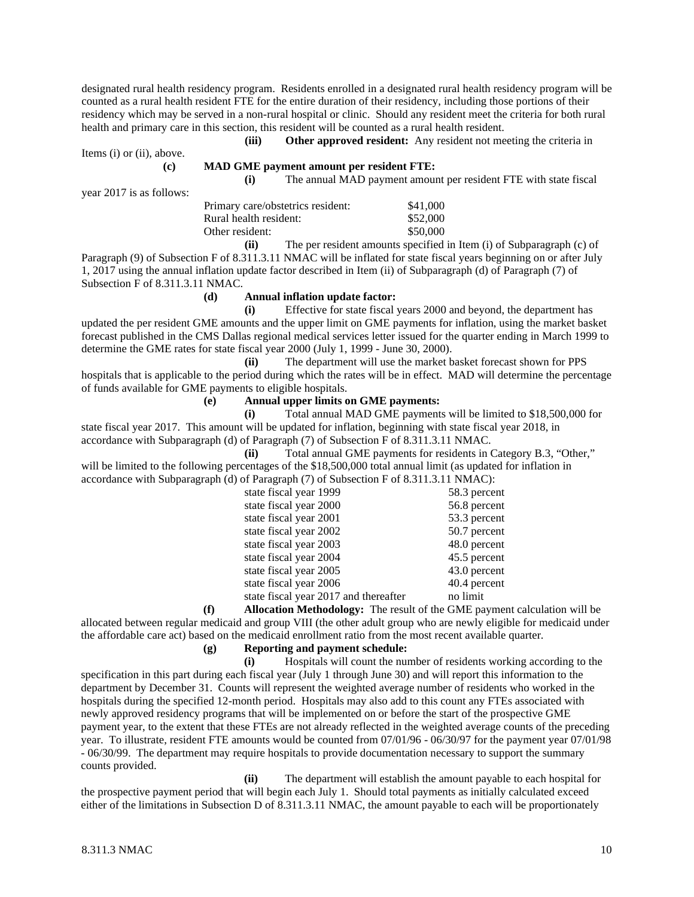designated rural health residency program. Residents enrolled in a designated rural health residency program will be counted as a rural health resident FTE for the entire duration of their residency, including those portions of their residency which may be served in a non-rural hospital or clinic. Should any resident meet the criteria for both rural health and primary care in this section, this resident will be counted as a rural health resident.

Items (i) or (ii), above.

year 2017 is as follows:

| (c) |  |  | <b>MAD GME payment amount per resident FTE:</b> |  |  |  |  |
|-----|--|--|-------------------------------------------------|--|--|--|--|
|-----|--|--|-------------------------------------------------|--|--|--|--|

**(i)** The annual MAD payment amount per resident FTE with state fiscal

**(iii) Other approved resident:** Any resident not meeting the criteria in

| Primary care/obstetrics resident: | \$41,000 |
|-----------------------------------|----------|
| Rural health resident:            | \$52,000 |
| Other resident:                   | \$50,000 |
|                                   |          |

**(ii)** The per resident amounts specified in Item (i) of Subparagraph (c) of Paragraph (9) of Subsection F of 8.311.3.11 NMAC will be inflated for state fiscal years beginning on or after July 1, 2017 using the annual inflation update factor described in Item (ii) of Subparagraph (d) of Paragraph (7) of Subsection F of 8.311.3.11 NMAC.

### **(d) Annual inflation update factor:**

**(i)** Effective for state fiscal years 2000 and beyond, the department has updated the per resident GME amounts and the upper limit on GME payments for inflation, using the market basket forecast published in the CMS Dallas regional medical services letter issued for the quarter ending in March 1999 to determine the GME rates for state fiscal year 2000 (July 1, 1999 - June 30, 2000).

**(ii)** The department will use the market basket forecast shown for PPS hospitals that is applicable to the period during which the rates will be in effect. MAD will determine the percentage of funds available for GME payments to eligible hospitals.

### **(e) Annual upper limits on GME payments:**

**(i)** Total annual MAD GME payments will be limited to \$18,500,000 for state fiscal year 2017. This amount will be updated for inflation, beginning with state fiscal year 2018, in accordance with Subparagraph (d) of Paragraph (7) of Subsection F of 8.311.3.11 NMAC.

**(ii)** Total annual GME payments for residents in Category B.3, "Other," will be limited to the following percentages of the \$18,500,000 total annual limit (as updated for inflation in accordance with Subparagraph (d) of Paragraph (7) of Subsection F of 8.311.3.11 NMAC):

| $\frac{1}{2}$ of t and $\frac{1}{2}$ (1) or backed to the contract of $\frac{1}{2}$ . |              |
|---------------------------------------------------------------------------------------|--------------|
| state fiscal year 1999                                                                | 58.3 percent |
| state fiscal year 2000                                                                | 56.8 percent |
| state fiscal year 2001                                                                | 53.3 percent |
| state fiscal year 2002                                                                | 50.7 percent |
| state fiscal year 2003                                                                | 48.0 percent |
| state fiscal year 2004                                                                | 45.5 percent |
| state fiscal year 2005                                                                | 43.0 percent |
| state fiscal year 2006                                                                | 40.4 percent |
| state fiscal year 2017 and thereafter                                                 | no limit     |

**(f) Allocation Methodology:** The result of the GME payment calculation will be allocated between regular medicaid and group VIII (the other adult group who are newly eligible for medicaid under the affordable care act) based on the medicaid enrollment ratio from the most recent available quarter.

# **(g) Reporting and payment schedule:**

**(i)** Hospitals will count the number of residents working according to the specification in this part during each fiscal year (July 1 through June 30) and will report this information to the department by December 31. Counts will represent the weighted average number of residents who worked in the hospitals during the specified 12-month period. Hospitals may also add to this count any FTEs associated with newly approved residency programs that will be implemented on or before the start of the prospective GME payment year, to the extent that these FTEs are not already reflected in the weighted average counts of the preceding year. To illustrate, resident FTE amounts would be counted from 07/01/96 - 06/30/97 for the payment year 07/01/98 - 06/30/99. The department may require hospitals to provide documentation necessary to support the summary counts provided.

**(ii)** The department will establish the amount payable to each hospital for the prospective payment period that will begin each July 1. Should total payments as initially calculated exceed either of the limitations in Subsection D of 8.311.3.11 NMAC, the amount payable to each will be proportionately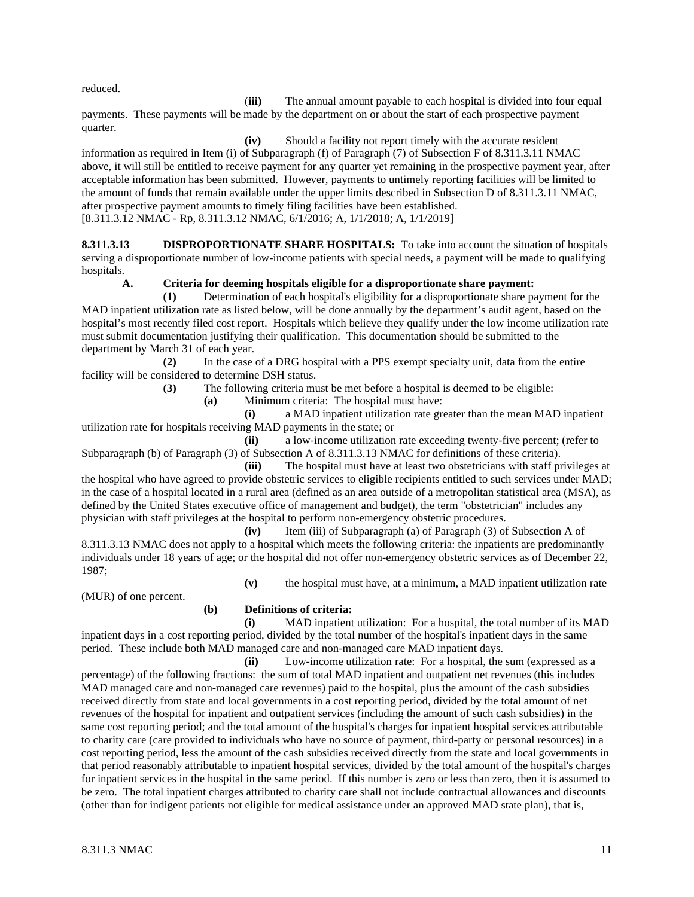reduced.

(**iii)** The annual amount payable to each hospital is divided into four equal payments. These payments will be made by the department on or about the start of each prospective payment quarter.

**(iv)** Should a facility not report timely with the accurate resident information as required in Item (i) of Subparagraph (f) of Paragraph (7) of Subsection F of 8.311.3.11 NMAC above, it will still be entitled to receive payment for any quarter yet remaining in the prospective payment year, after acceptable information has been submitted. However, payments to untimely reporting facilities will be limited to the amount of funds that remain available under the upper limits described in Subsection D of 8.311.3.11 NMAC, after prospective payment amounts to timely filing facilities have been established. [8.311.3.12 NMAC - Rp, 8.311.3.12 NMAC, 6/1/2016; A, 1/1/2018; A, 1/1/2019]

**8.311.3.13 DISPROPORTIONATE SHARE HOSPITALS:** To take into account the situation of hospitals serving a disproportionate number of low-income patients with special needs, a payment will be made to qualifying hospitals.

# **A. Criteria for deeming hospitals eligible for a disproportionate share payment:**

**(1)** Determination of each hospital's eligibility for a disproportionate share payment for the MAD inpatient utilization rate as listed below, will be done annually by the department's audit agent, based on the hospital's most recently filed cost report. Hospitals which believe they qualify under the low income utilization rate must submit documentation justifying their qualification. This documentation should be submitted to the department by March 31 of each year.

**(2)** In the case of a DRG hospital with a PPS exempt specialty unit, data from the entire facility will be considered to determine DSH status.

**(3)** The following criteria must be met before a hospital is deemed to be eligible:

**(a)** Minimum criteria: The hospital must have:

**(i)** a MAD inpatient utilization rate greater than the mean MAD inpatient utilization rate for hospitals receiving MAD payments in the state; or

**(ii)** a low-income utilization rate exceeding twenty-five percent; (refer to Subparagraph (b) of Paragraph (3) of Subsection A of 8.311.3.13 NMAC for definitions of these criteria).

**(iii)** The hospital must have at least two obstetricians with staff privileges at the hospital who have agreed to provide obstetric services to eligible recipients entitled to such services under MAD; in the case of a hospital located in a rural area (defined as an area outside of a metropolitan statistical area (MSA), as defined by the United States executive office of management and budget), the term "obstetrician" includes any physician with staff privileges at the hospital to perform non-emergency obstetric procedures.

**(iv)** Item (iii) of Subparagraph (a) of Paragraph (3) of Subsection A of 8.311.3.13 NMAC does not apply to a hospital which meets the following criteria: the inpatients are predominantly individuals under 18 years of age; or the hospital did not offer non-emergency obstetric services as of December 22, 1987;

**(v)** the hospital must have, at a minimum, a MAD inpatient utilization rate

(MUR) of one percent.

# **(b) Definitions of criteria:**

**(i)** MAD inpatient utilization: For a hospital, the total number of its MAD inpatient days in a cost reporting period, divided by the total number of the hospital's inpatient days in the same period. These include both MAD managed care and non-managed care MAD inpatient days.

**(ii)** Low-income utilization rate: For a hospital, the sum (expressed as a percentage) of the following fractions: the sum of total MAD inpatient and outpatient net revenues (this includes MAD managed care and non-managed care revenues) paid to the hospital, plus the amount of the cash subsidies received directly from state and local governments in a cost reporting period, divided by the total amount of net revenues of the hospital for inpatient and outpatient services (including the amount of such cash subsidies) in the same cost reporting period; and the total amount of the hospital's charges for inpatient hospital services attributable to charity care (care provided to individuals who have no source of payment, third-party or personal resources) in a cost reporting period, less the amount of the cash subsidies received directly from the state and local governments in that period reasonably attributable to inpatient hospital services, divided by the total amount of the hospital's charges for inpatient services in the hospital in the same period. If this number is zero or less than zero, then it is assumed to be zero. The total inpatient charges attributed to charity care shall not include contractual allowances and discounts (other than for indigent patients not eligible for medical assistance under an approved MAD state plan), that is,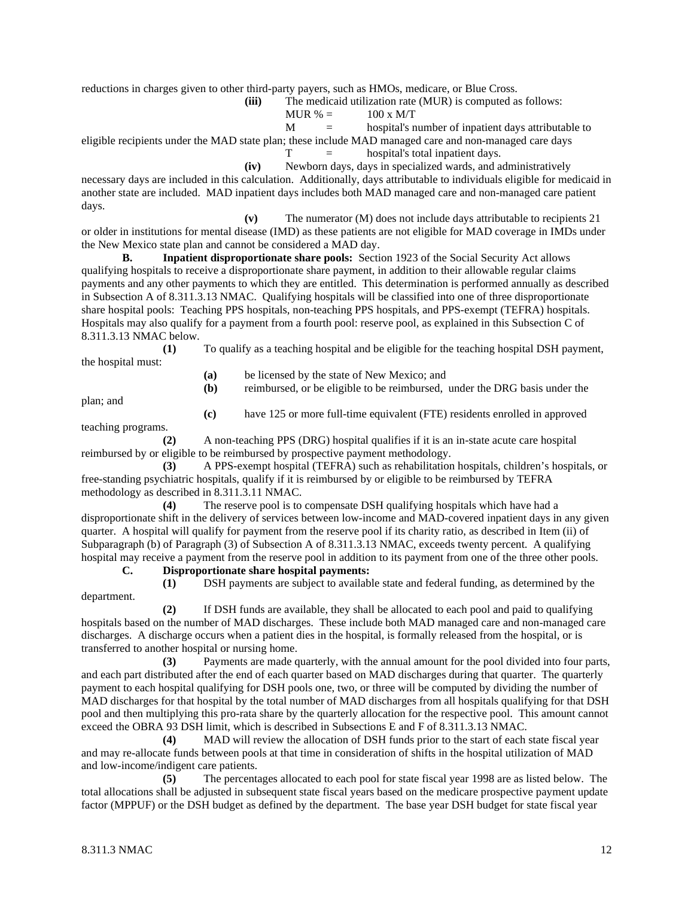reductions in charges given to other third-party payers, such as HMOs, medicare, or Blue Cross.

**(iii)** The medicaid utilization rate (MUR) is computed as follows:

$$
MUR \% = 100 x M/T
$$

 $M =$  hospital's number of inpatient days attributable to

eligible recipients under the MAD state plan; these include MAD managed care and non-managed care days

 $T =$  hospital's total inpatient days.

**(iv)** Newborn days, days in specialized wards, and administratively necessary days are included in this calculation. Additionally, days attributable to individuals eligible for medicaid in another state are included. MAD inpatient days includes both MAD managed care and non-managed care patient days.

**(v)** The numerator (M) does not include days attributable to recipients 21 or older in institutions for mental disease (IMD) as these patients are not eligible for MAD coverage in IMDs under the New Mexico state plan and cannot be considered a MAD day.

**B. Inpatient disproportionate share pools:** Section 1923 of the Social Security Act allows qualifying hospitals to receive a disproportionate share payment, in addition to their allowable regular claims payments and any other payments to which they are entitled. This determination is performed annually as described in Subsection A of 8.311.3.13 NMAC. Qualifying hospitals will be classified into one of three disproportionate share hospital pools: Teaching PPS hospitals, non-teaching PPS hospitals, and PPS-exempt (TEFRA) hospitals. Hospitals may also qualify for a payment from a fourth pool: reserve pool, as explained in this Subsection C of 8.311.3.13 NMAC below.

**(1)** To qualify as a teaching hospital and be eligible for the teaching hospital DSH payment, the hospital must:

**(a)** be licensed by the state of New Mexico; and

plan; and

**(b)** reimbursed, or be eligible to be reimbursed, under the DRG basis under the

**(c)** have 125 or more full-time equivalent (FTE) residents enrolled in approved

teaching programs.

**(2)** A non-teaching PPS (DRG) hospital qualifies if it is an in-state acute care hospital reimbursed by or eligible to be reimbursed by prospective payment methodology.

**(3)** A PPS-exempt hospital (TEFRA) such as rehabilitation hospitals, children's hospitals, or free-standing psychiatric hospitals, qualify if it is reimbursed by or eligible to be reimbursed by TEFRA methodology as described in 8.311.3.11 NMAC.

**(4)** The reserve pool is to compensate DSH qualifying hospitals which have had a disproportionate shift in the delivery of services between low-income and MAD-covered inpatient days in any given quarter. A hospital will qualify for payment from the reserve pool if its charity ratio, as described in Item (ii) of Subparagraph (b) of Paragraph (3) of Subsection A of 8.311.3.13 NMAC, exceeds twenty percent. A qualifying hospital may receive a payment from the reserve pool in addition to its payment from one of the three other pools.

**C. Disproportionate share hospital payments:**

department.

**(1)** DSH payments are subject to available state and federal funding, as determined by the

**(2)** If DSH funds are available, they shall be allocated to each pool and paid to qualifying hospitals based on the number of MAD discharges. These include both MAD managed care and non-managed care discharges. A discharge occurs when a patient dies in the hospital, is formally released from the hospital, or is transferred to another hospital or nursing home.

**(3)** Payments are made quarterly, with the annual amount for the pool divided into four parts, and each part distributed after the end of each quarter based on MAD discharges during that quarter. The quarterly payment to each hospital qualifying for DSH pools one, two, or three will be computed by dividing the number of MAD discharges for that hospital by the total number of MAD discharges from all hospitals qualifying for that DSH pool and then multiplying this pro-rata share by the quarterly allocation for the respective pool. This amount cannot exceed the OBRA 93 DSH limit, which is described in Subsections E and F of 8.311.3.13 NMAC.

**(4)** MAD will review the allocation of DSH funds prior to the start of each state fiscal year and may re-allocate funds between pools at that time in consideration of shifts in the hospital utilization of MAD and low-income/indigent care patients.

**(5)** The percentages allocated to each pool for state fiscal year 1998 are as listed below. The total allocations shall be adjusted in subsequent state fiscal years based on the medicare prospective payment update factor (MPPUF) or the DSH budget as defined by the department. The base year DSH budget for state fiscal year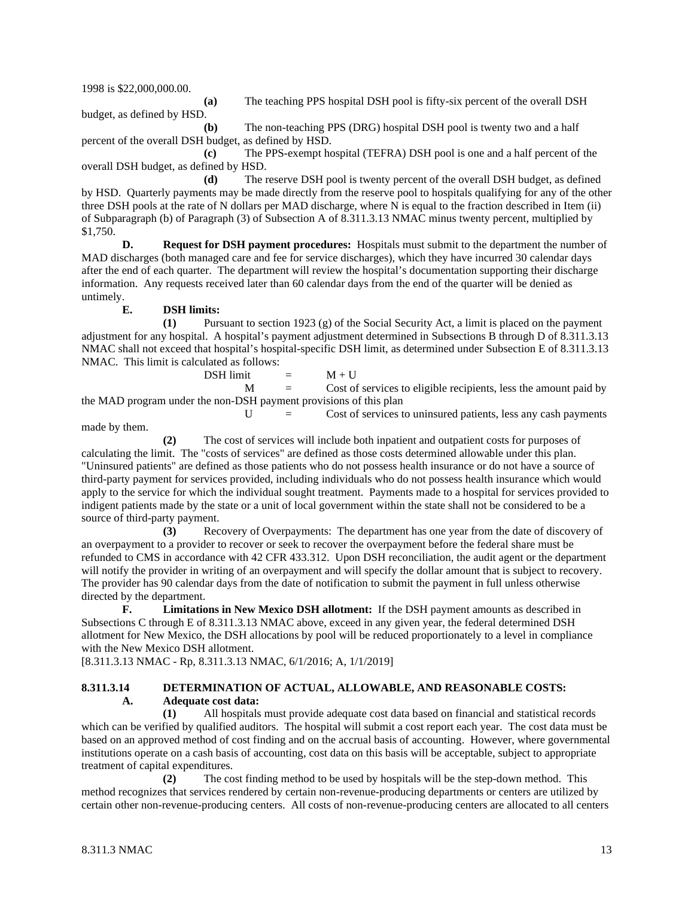1998 is \$22,000,000.00.

budget, as defined by HSD.

**(a)** The teaching PPS hospital DSH pool is fifty-six percent of the overall DSH

**(b)** The non-teaching PPS (DRG) hospital DSH pool is twenty two and a half percent of the overall DSH budget, as defined by HSD.

**(c)** The PPS-exempt hospital (TEFRA) DSH pool is one and a half percent of the overall DSH budget, as defined by HSD.

**(d)** The reserve DSH pool is twenty percent of the overall DSH budget, as defined by HSD. Quarterly payments may be made directly from the reserve pool to hospitals qualifying for any of the other three DSH pools at the rate of N dollars per MAD discharge, where N is equal to the fraction described in Item (ii) of Subparagraph (b) of Paragraph (3) of Subsection A of 8.311.3.13 NMAC minus twenty percent, multiplied by \$1,750.

**D. Request for DSH payment procedures:** Hospitals must submit to the department the number of MAD discharges (both managed care and fee for service discharges), which they have incurred 30 calendar days after the end of each quarter. The department will review the hospital's documentation supporting their discharge information. Any requests received later than 60 calendar days from the end of the quarter will be denied as untimely.

# **E. DSH limits:**

**(1)** Pursuant to section 1923 (g) of the Social Security Act, a limit is placed on the payment adjustment for any hospital. A hospital's payment adjustment determined in Subsections B through D of 8.311.3.13 NMAC shall not exceed that hospital's hospital-specific DSH limit, as determined under Subsection E of 8.311.3.13 NMAC. This limit is calculated as follows:

 $DSH$  limit  $= M + U$ 

 $M =$  Cost of services to eligible recipients, less the amount paid by the MAD program under the non-DSH payment provisions of this plan

 $U =$  Cost of services to uninsured patients, less any cash payments

made by them.

**(2)** The cost of services will include both inpatient and outpatient costs for purposes of calculating the limit. The "costs of services" are defined as those costs determined allowable under this plan. "Uninsured patients" are defined as those patients who do not possess health insurance or do not have a source of third-party payment for services provided, including individuals who do not possess health insurance which would apply to the service for which the individual sought treatment. Payments made to a hospital for services provided to indigent patients made by the state or a unit of local government within the state shall not be considered to be a source of third-party payment.

**(3)** Recovery of Overpayments: The department has one year from the date of discovery of an overpayment to a provider to recover or seek to recover the overpayment before the federal share must be refunded to CMS in accordance with 42 CFR 433.312. Upon DSH reconciliation, the audit agent or the department will notify the provider in writing of an overpayment and will specify the dollar amount that is subject to recovery. The provider has 90 calendar days from the date of notification to submit the payment in full unless otherwise directed by the department.

**F. Limitations in New Mexico DSH allotment:** If the DSH payment amounts as described in Subsections C through E of 8.311.3.13 NMAC above, exceed in any given year, the federal determined DSH allotment for New Mexico, the DSH allocations by pool will be reduced proportionately to a level in compliance with the New Mexico DSH allotment.

[8.311.3.13 NMAC - Rp, 8.311.3.13 NMAC, 6/1/2016; A, 1/1/2019]

### **8.311.3.14 DETERMINATION OF ACTUAL, ALLOWABLE, AND REASONABLE COSTS: A. Adequate cost data:**

**(1)** All hospitals must provide adequate cost data based on financial and statistical records which can be verified by qualified auditors. The hospital will submit a cost report each year. The cost data must be based on an approved method of cost finding and on the accrual basis of accounting. However, where governmental institutions operate on a cash basis of accounting, cost data on this basis will be acceptable, subject to appropriate treatment of capital expenditures.

**(2)** The cost finding method to be used by hospitals will be the step-down method. This method recognizes that services rendered by certain non-revenue-producing departments or centers are utilized by certain other non-revenue-producing centers. All costs of non-revenue-producing centers are allocated to all centers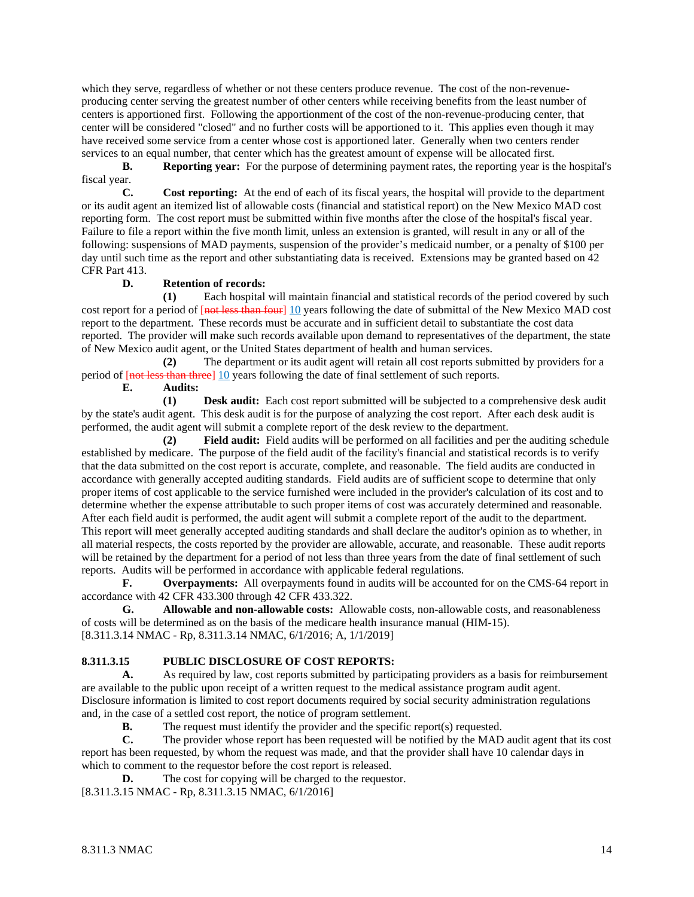which they serve, regardless of whether or not these centers produce revenue. The cost of the non-revenueproducing center serving the greatest number of other centers while receiving benefits from the least number of centers is apportioned first. Following the apportionment of the cost of the non-revenue-producing center, that center will be considered "closed" and no further costs will be apportioned to it. This applies even though it may have received some service from a center whose cost is apportioned later. Generally when two centers render services to an equal number, that center which has the greatest amount of expense will be allocated first.

**B. Reporting year:** For the purpose of determining payment rates, the reporting year is the hospital's fiscal year.

**C. Cost reporting:** At the end of each of its fiscal years, the hospital will provide to the department or its audit agent an itemized list of allowable costs (financial and statistical report) on the New Mexico MAD cost reporting form. The cost report must be submitted within five months after the close of the hospital's fiscal year. Failure to file a report within the five month limit, unless an extension is granted, will result in any or all of the following: suspensions of MAD payments, suspension of the provider's medicaid number, or a penalty of \$100 per day until such time as the report and other substantiating data is received. Extensions may be granted based on 42 CFR Part 413.

# **D. Retention of records:**

**(1)** Each hospital will maintain financial and statistical records of the period covered by such cost report for a period of [not less than four] 10 years following the date of submittal of the New Mexico MAD cost report to the department. These records must be accurate and in sufficient detail to substantiate the cost data reported. The provider will make such records available upon demand to representatives of the department, the state of New Mexico audit agent, or the United States department of health and human services.

**(2)** The department or its audit agent will retain all cost reports submitted by providers for a period of [not less than three] 10 years following the date of final settlement of such reports.

**E. Audits:**

**(1) Desk audit:** Each cost report submitted will be subjected to a comprehensive desk audit by the state's audit agent. This desk audit is for the purpose of analyzing the cost report. After each desk audit is performed, the audit agent will submit a complete report of the desk review to the department.

**(2) Field audit:** Field audits will be performed on all facilities and per the auditing schedule established by medicare. The purpose of the field audit of the facility's financial and statistical records is to verify that the data submitted on the cost report is accurate, complete, and reasonable. The field audits are conducted in accordance with generally accepted auditing standards. Field audits are of sufficient scope to determine that only proper items of cost applicable to the service furnished were included in the provider's calculation of its cost and to determine whether the expense attributable to such proper items of cost was accurately determined and reasonable. After each field audit is performed, the audit agent will submit a complete report of the audit to the department. This report will meet generally accepted auditing standards and shall declare the auditor's opinion as to whether, in all material respects, the costs reported by the provider are allowable, accurate, and reasonable. These audit reports will be retained by the department for a period of not less than three years from the date of final settlement of such reports. Audits will be performed in accordance with applicable federal regulations.

**F. Overpayments:** All overpayments found in audits will be accounted for on the CMS-64 report in accordance with 42 CFR 433.300 through 42 CFR 433.322.

**G. Allowable and non-allowable costs:** Allowable costs, non-allowable costs, and reasonableness of costs will be determined as on the basis of the medicare health insurance manual (HIM-15). [8.311.3.14 NMAC - Rp, 8.311.3.14 NMAC, 6/1/2016; A, 1/1/2019]

# **8.311.3.15 PUBLIC DISCLOSURE OF COST REPORTS:**

**A.** As required by law, cost reports submitted by participating providers as a basis for reimbursement are available to the public upon receipt of a written request to the medical assistance program audit agent. Disclosure information is limited to cost report documents required by social security administration regulations and, in the case of a settled cost report, the notice of program settlement.

**B.** The request must identify the provider and the specific report(s) requested.

**C.** The provider whose report has been requested will be notified by the MAD audit agent that its cost report has been requested, by whom the request was made, and that the provider shall have 10 calendar days in which to comment to the requestor before the cost report is released.

**D.** The cost for copying will be charged to the requestor.

[8.311.3.15 NMAC - Rp, 8.311.3.15 NMAC, 6/1/2016]